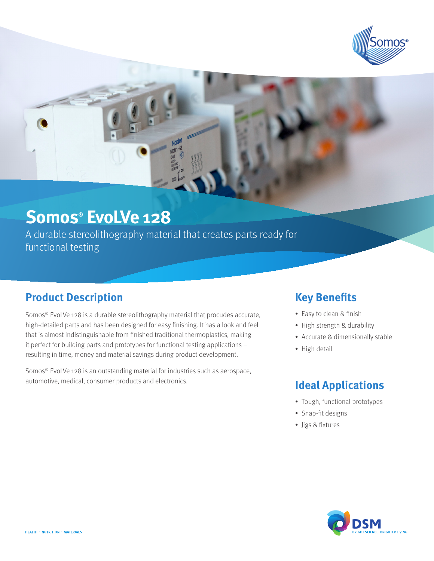

# **Somos® EvoLVe 128**

A durable stereolithography material that creates parts ready for functional testing

### **Product Description**

Somos® EvoLVe 128 is a durable stereolithography material that procudes accurate, high-detailed parts and has been designed for easy finishing. It has a look and feel that is almost indistinguishable from finished traditional thermoplastics, making it perfect for building parts and prototypes for functional testing applications – resulting in time, money and material savings during product development.

Somos® EvoLVe 128 is an outstanding material for industries such as aerospace, automotive, medical, consumer products and electronics.

### **Key Benefits**

- Easy to clean & finish
- High strength & durability
- Accurate & dimensionally stable
- High detail

### **Ideal Applications**

- Tough, functional prototypes
- Snap-fit designs
- • Jigs & fixtures